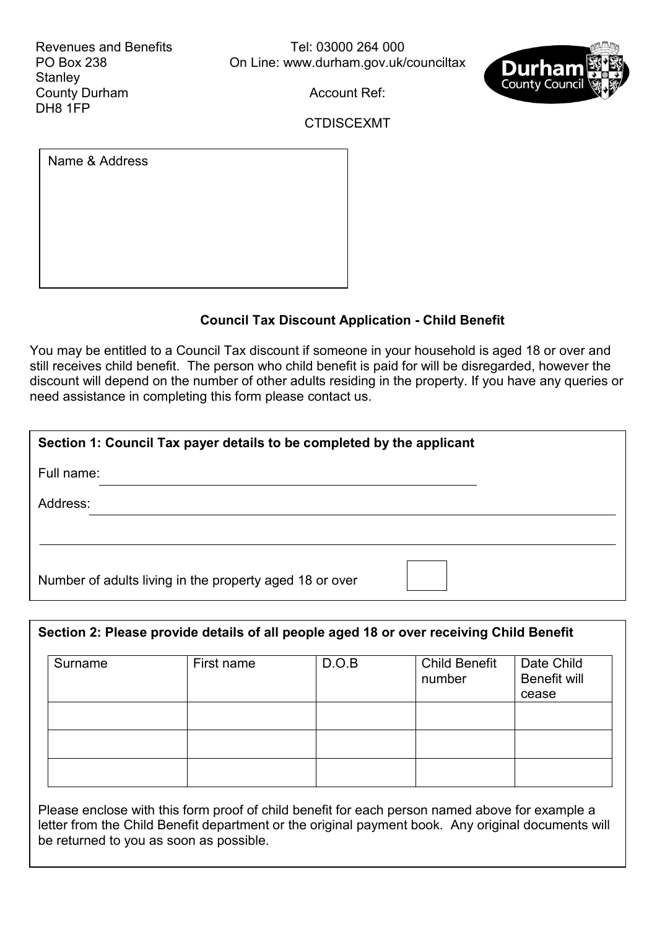Revenues and Benefits PO Box 238 **Stanley** County Durham DH8 1FP

Tel: 03000 264 000 On Line: [www.durham.gov.uk/counciltax](http://www.durham.gov.uk/counciltax)



Account Ref:

CTDISCEXMT

| Name & Address |  |  |
|----------------|--|--|
|                |  |  |
|                |  |  |
|                |  |  |
|                |  |  |

## **Council Tax Discount Application - Child Benefit**

You may be entitled to a Council Tax discount if someone in your household is aged 18 or over and still receives child benefit. The person who child benefit is paid for will be disregarded, however the discount will depend on the number of other adults residing in the property. If you have any queries or need assistance in completing this form please contact us.

| Section 1: Council Tax payer details to be completed by the applicant |  |  |  |  |  |
|-----------------------------------------------------------------------|--|--|--|--|--|
| Full name:                                                            |  |  |  |  |  |
| Address:                                                              |  |  |  |  |  |
|                                                                       |  |  |  |  |  |
| Number of adults living in the property aged 18 or over               |  |  |  |  |  |

| Section 2: Please provide details of all people aged 18 or over receiving Child Benefit |            |       |                                |                                     |  |  |  |  |  |
|-----------------------------------------------------------------------------------------|------------|-------|--------------------------------|-------------------------------------|--|--|--|--|--|
| Surname                                                                                 | First name | D.O.B | <b>Child Benefit</b><br>number | Date Child<br>Benefit will<br>cease |  |  |  |  |  |
|                                                                                         |            |       |                                |                                     |  |  |  |  |  |
|                                                                                         |            |       |                                |                                     |  |  |  |  |  |
|                                                                                         |            |       |                                |                                     |  |  |  |  |  |

Please enclose with this form proof of child benefit for each person named above for example a letter from the Child Benefit department or the original payment book. Any original documents will be returned to you as soon as possible.